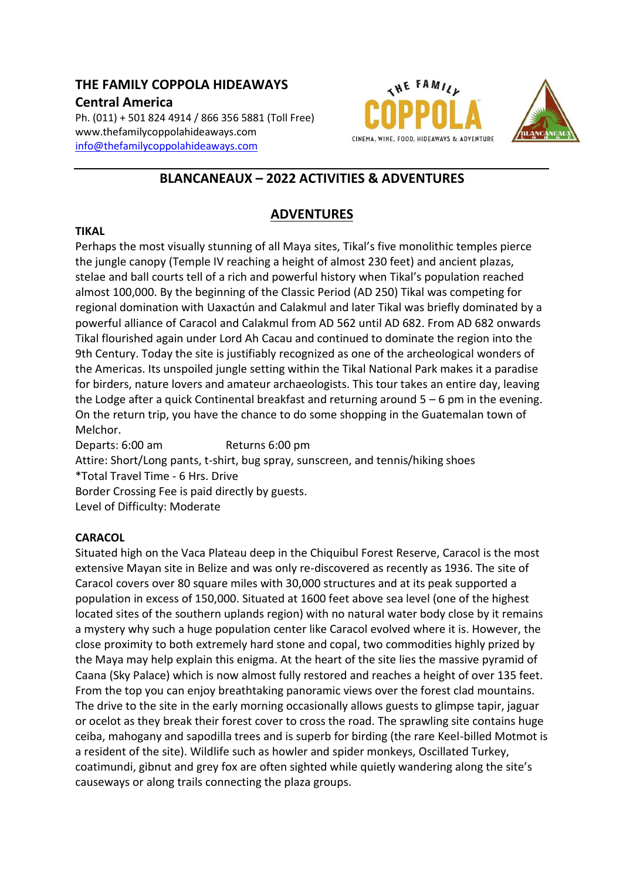# **THE FAMILY COPPOLA HIDEAWAYS Central America**

Ph. (011) + 501 824 4914 / 866 356 5881 (Toll Free) www.thefamilycoppolahideaways.com [info@thefamilycoppolahideaways.com](mailto:info@thefamilycoppolahideaways.com)





# **BLANCANEAUX – 2022 ACTIVITIES & ADVENTURES**

# **ADVENTURES**

#### **TIKAL**

Perhaps the most visually stunning of all Maya sites, Tikal's five monolithic temples pierce the jungle canopy (Temple IV reaching a height of almost 230 feet) and ancient plazas, stelae and ball courts tell of a rich and powerful history when Tikal's population reached almost 100,000. By the beginning of the Classic Period (AD 250) Tikal was competing for regional domination with Uaxactún and Calakmul and later Tikal was briefly dominated by a powerful alliance of Caracol and Calakmul from AD 562 until AD 682. From AD 682 onwards Tikal flourished again under Lord Ah Cacau and continued to dominate the region into the 9th Century. Today the site is justifiably recognized as one of the archeological wonders of the Americas. Its unspoiled jungle setting within the Tikal National Park makes it a paradise for birders, nature lovers and amateur archaeologists. This tour takes an entire day, leaving the Lodge after a quick Continental breakfast and returning around 5 – 6 pm in the evening. On the return trip, you have the chance to do some shopping in the Guatemalan town of Melchor.

Departs: 6:00 am Returns 6:00 pm Attire: Short/Long pants, t-shirt, bug spray, sunscreen, and tennis/hiking shoes \*Total Travel Time - 6 Hrs. Drive Border Crossing Fee is paid directly by guests. Level of Difficulty: Moderate

### **CARACOL**

Situated high on the Vaca Plateau deep in the Chiquibul Forest Reserve, Caracol is the most extensive Mayan site in Belize and was only re-discovered as recently as 1936. The site of Caracol covers over 80 square miles with 30,000 structures and at its peak supported a population in excess of 150,000. Situated at 1600 feet above sea level (one of the highest located sites of the southern uplands region) with no natural water body close by it remains a mystery why such a huge population center like Caracol evolved where it is. However, the close proximity to both extremely hard stone and copal, two commodities highly prized by the Maya may help explain this enigma. At the heart of the site lies the massive pyramid of Caana (Sky Palace) which is now almost fully restored and reaches a height of over 135 feet. From the top you can enjoy breathtaking panoramic views over the forest clad mountains. The drive to the site in the early morning occasionally allows guests to glimpse tapir, jaguar or ocelot as they break their forest cover to cross the road. The sprawling site contains huge ceiba, mahogany and sapodilla trees and is superb for birding (the rare Keel-billed Motmot is a resident of the site). Wildlife such as howler and spider monkeys, Oscillated Turkey, coatimundi, gibnut and grey fox are often sighted while quietly wandering along the site's causeways or along trails connecting the plaza groups.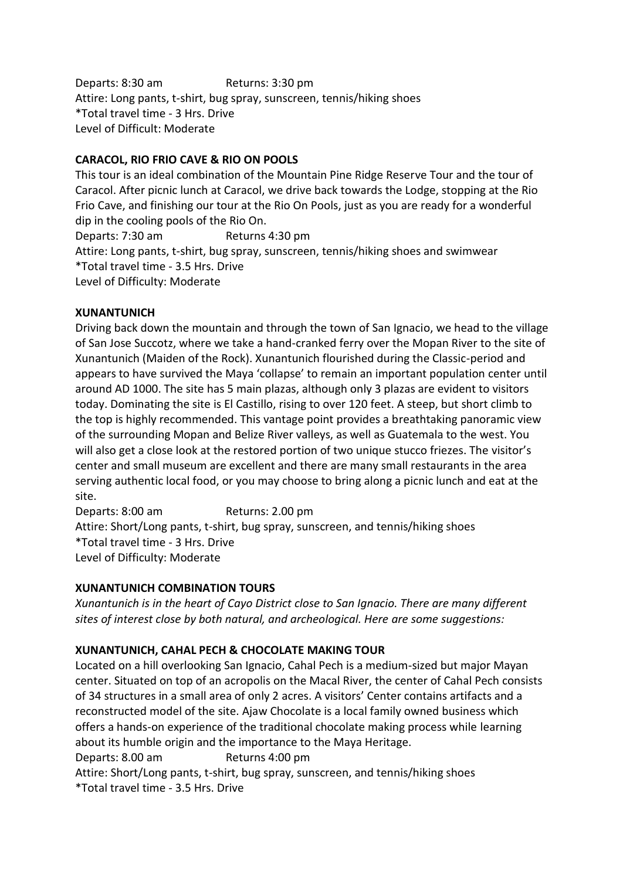Departs: 8:30 am Returns: 3:30 pm Attire: Long pants, t-shirt, bug spray, sunscreen, tennis/hiking shoes \*Total travel time - 3 Hrs. Drive Level of Difficult: Moderate

# **CARACOL, RIO FRIO CAVE & RIO ON POOLS**

This tour is an ideal combination of the Mountain Pine Ridge Reserve Tour and the tour of Caracol. After picnic lunch at Caracol, we drive back towards the Lodge, stopping at the Rio Frio Cave, and finishing our tour at the Rio On Pools, just as you are ready for a wonderful dip in the cooling pools of the Rio On.

Departs: 7:30 am Returns 4:30 pm

Attire: Long pants, t-shirt, bug spray, sunscreen, tennis/hiking shoes and swimwear \*Total travel time - 3.5 Hrs. Drive

Level of Difficulty: Moderate

### **XUNANTUNICH**

Driving back down the mountain and through the town of San Ignacio, we head to the village of San Jose Succotz, where we take a hand-cranked ferry over the Mopan River to the site of Xunantunich (Maiden of the Rock). Xunantunich flourished during the Classic-period and appears to have survived the Maya 'collapse' to remain an important population center until around AD 1000. The site has 5 main plazas, although only 3 plazas are evident to visitors today. Dominating the site is El Castillo, rising to over 120 feet. A steep, but short climb to the top is highly recommended. This vantage point provides a breathtaking panoramic view of the surrounding Mopan and Belize River valleys, as well as Guatemala to the west. You will also get a close look at the restored portion of two unique stucco friezes. The visitor's center and small museum are excellent and there are many small restaurants in the area serving authentic local food, or you may choose to bring along a picnic lunch and eat at the site.

Departs: 8:00 am Returns: 2.00 pm Attire: Short/Long pants, t-shirt, bug spray, sunscreen, and tennis/hiking shoes \*Total travel time - 3 Hrs. Drive Level of Difficulty: Moderate

# **XUNANTUNICH COMBINATION TOURS**

*Xunantunich is in the heart of Cayo District close to San Ignacio. There are many different sites of interest close by both natural, and archeological. Here are some suggestions:*

# **XUNANTUNICH, CAHAL PECH & CHOCOLATE MAKING TOUR**

Located on a hill overlooking San Ignacio, Cahal Pech is a medium-sized but major Mayan center. Situated on top of an acropolis on the Macal River, the center of Cahal Pech consists of 34 structures in a small area of only 2 acres. A visitors' Center contains artifacts and a reconstructed model of the site. Ajaw Chocolate is a local family owned business which offers a hands-on experience of the traditional chocolate making process while learning about its humble origin and the importance to the Maya Heritage. Departs: 8.00 am Returns 4:00 pm Attire: Short/Long pants, t-shirt, bug spray, sunscreen, and tennis/hiking shoes

\*Total travel time - 3.5 Hrs. Drive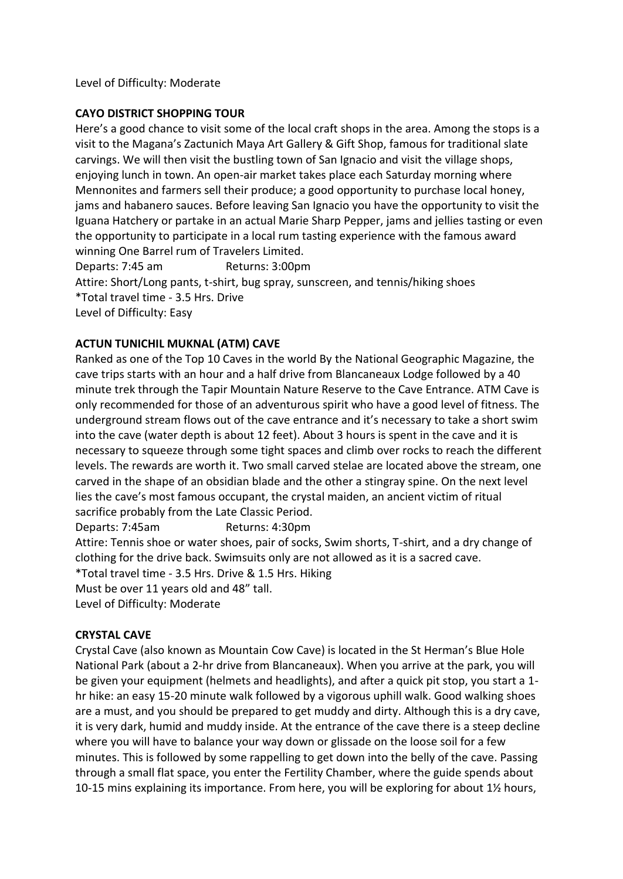Level of Difficulty: Moderate

## **CAYO DISTRICT SHOPPING TOUR**

Here's a good chance to visit some of the local craft shops in the area. Among the stops is a visit to the Magana's Zactunich Maya Art Gallery & Gift Shop, famous for traditional slate carvings. We will then visit the bustling town of San Ignacio and visit the village shops, enjoying lunch in town. An open-air market takes place each Saturday morning where Mennonites and farmers sell their produce; a good opportunity to purchase local honey, jams and habanero sauces. Before leaving San Ignacio you have the opportunity to visit the Iguana Hatchery or partake in an actual Marie Sharp Pepper, jams and jellies tasting or even the opportunity to participate in a local rum tasting experience with the famous award winning One Barrel rum of Travelers Limited.

Departs: 7:45 am Returns: 3:00pm Attire: Short/Long pants, t-shirt, bug spray, sunscreen, and tennis/hiking shoes \*Total travel time - 3.5 Hrs. Drive Level of Difficulty: Easy

# **ACTUN TUNICHIL MUKNAL (ATM) CAVE**

Ranked as one of the Top 10 Caves in the world By the National Geographic Magazine, the cave trips starts with an hour and a half drive from Blancaneaux Lodge followed by a 40 minute trek through the Tapir Mountain Nature Reserve to the Cave Entrance. ATM Cave is only recommended for those of an adventurous spirit who have a good level of fitness. The underground stream flows out of the cave entrance and it's necessary to take a short swim into the cave (water depth is about 12 feet). About 3 hours is spent in the cave and it is necessary to squeeze through some tight spaces and climb over rocks to reach the different levels. The rewards are worth it. Two small carved stelae are located above the stream, one carved in the shape of an obsidian blade and the other a stingray spine. On the next level lies the cave's most famous occupant, the crystal maiden, an ancient victim of ritual sacrifice probably from the Late Classic Period.

Departs: 7:45am Returns: 4:30pm

Attire: Tennis shoe or water shoes, pair of socks, Swim shorts, T-shirt, and a dry change of clothing for the drive back. Swimsuits only are not allowed as it is a sacred cave.

\*Total travel time - 3.5 Hrs. Drive & 1.5 Hrs. Hiking

Must be over 11 years old and 48" tall.

Level of Difficulty: Moderate

#### **CRYSTAL CAVE**

Crystal Cave (also known as Mountain Cow Cave) is located in the St Herman's Blue Hole National Park (about a 2-hr drive from Blancaneaux). When you arrive at the park, you will be given your equipment (helmets and headlights), and after a quick pit stop, you start a 1 hr hike: an easy 15-20 minute walk followed by a vigorous uphill walk. Good walking shoes are a must, and you should be prepared to get muddy and dirty. Although this is a dry cave, it is very dark, humid and muddy inside. At the entrance of the cave there is a steep decline where you will have to balance your way down or glissade on the loose soil for a few minutes. This is followed by some rappelling to get down into the belly of the cave. Passing through a small flat space, you enter the Fertility Chamber, where the guide spends about 10-15 mins explaining its importance. From here, you will be exploring for about 1½ hours,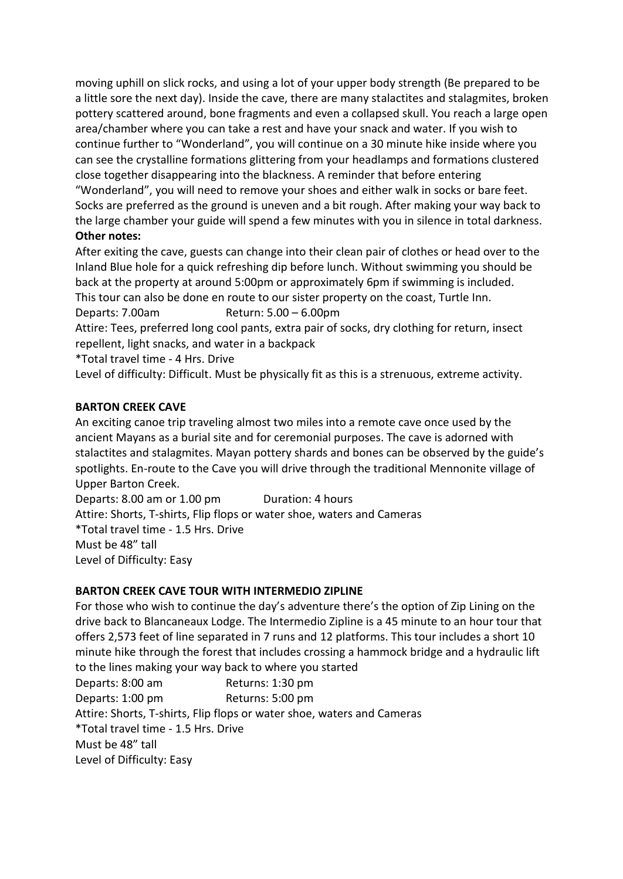moving uphill on slick rocks, and using a lot of your upper body strength (Be prepared to be a little sore the next day). Inside the cave, there are many stalactites and stalagmites, broken pottery scattered around, bone fragments and even a collapsed skull. You reach a large open area/chamber where you can take a rest and have your snack and water. If you wish to continue further to "Wonderland", you will continue on a 30 minute hike inside where you can see the crystalline formations glittering from your headlamps and formations clustered close together disappearing into the blackness. A reminder that before entering "Wonderland", you will need to remove your shoes and either walk in socks or bare feet. Socks are preferred as the ground is uneven and a bit rough. After making your way back to the large chamber your guide will spend a few minutes with you in silence in total darkness. **Other notes:**

After exiting the cave, guests can change into their clean pair of clothes or head over to the Inland Blue hole for a quick refreshing dip before lunch. Without swimming you should be back at the property at around 5:00pm or approximately 6pm if swimming is included. This tour can also be done en route to our sister property on the coast, Turtle Inn. Departs: 7.00am Return: 5.00 – 6.00pm Attire: Tees, preferred long cool pants, extra pair of socks, dry clothing for return, insect repellent, light snacks, and water in a backpack \*Total travel time - 4 Hrs. Drive Level of difficulty: Difficult. Must be physically fit as this is a strenuous, extreme activity.

### **BARTON CREEK CAVE**

An exciting canoe trip traveling almost two miles into a remote cave once used by the ancient Mayans as a burial site and for ceremonial purposes. The cave is adorned with stalactites and stalagmites. Mayan pottery shards and bones can be observed by the guide's spotlights. En-route to the Cave you will drive through the traditional Mennonite village of Upper Barton Creek.

Departs: 8.00 am or 1.00 pm Duration: 4 hours Attire: Shorts, T-shirts, Flip flops or water shoe, waters and Cameras \*Total travel time - 1.5 Hrs. Drive Must be 48" tall Level of Difficulty: Easy

### **BARTON CREEK CAVE TOUR WITH INTERMEDIO ZIPLINE**

For those who wish to continue the day's adventure there's the option of Zip Lining on the drive back to Blancaneaux Lodge. The Intermedio Zipline is a 45 minute to an hour tour that offers 2,573 feet of line separated in 7 runs and 12 platforms. This tour includes a short 10 minute hike through the forest that includes crossing a hammock bridge and a hydraulic lift to the lines making your way back to where you started Departs: 8:00 am Returns: 1:30 pm Departs: 1:00 pm Returns: 5:00 pm Attire: Shorts, T-shirts, Flip flops or water shoe, waters and Cameras \*Total travel time - 1.5 Hrs. Drive Must be 48" tall

Level of Difficulty: Easy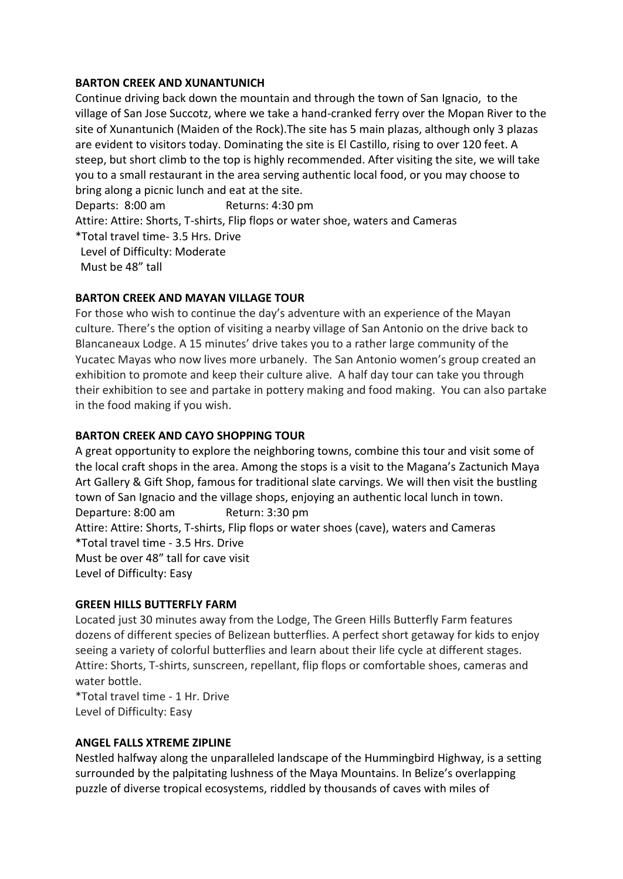#### **BARTON CREEK AND XUNANTUNICH**

Continue driving back down the mountain and through the town of San Ignacio, to the village of San Jose Succotz, where we take a hand-cranked ferry over the Mopan River to the site of Xunantunich (Maiden of the Rock).The site has 5 main plazas, although only 3 plazas are evident to visitors today. Dominating the site is El Castillo, rising to over 120 feet. A steep, but short climb to the top is highly recommended. After visiting the site, we will take you to a small restaurant in the area serving authentic local food, or you may choose to bring along a picnic lunch and eat at the site. Departs: 8:00 am Returns: 4:30 pm Attire: Attire: Shorts, T-shirts, Flip flops or water shoe, waters and Cameras

\*Total travel time- 3.5 Hrs. Drive Level of Difficulty: Moderate Must be 48" tall

### **BARTON CREEK AND MAYAN VILLAGE TOUR**

For those who wish to continue the day's adventure with an experience of the Mayan culture. There's the option of visiting a nearby village of San Antonio on the drive back to Blancaneaux Lodge. A 15 minutes' drive takes you to a rather large community of the Yucatec Mayas who now lives more urbanely. The San Antonio women's group created an exhibition to promote and keep their culture alive. A half day tour can take you through their exhibition to see and partake in pottery making and food making. You can also partake in the food making if you wish.

### **BARTON CREEK AND CAYO SHOPPING TOUR**

A great opportunity to explore the neighboring towns, combine this tour and visit some of the local craft shops in the area. Among the stops is a visit to the Magana's Zactunich Maya Art Gallery & Gift Shop, famous for traditional slate carvings. We will then visit the bustling town of San Ignacio and the village shops, enjoying an authentic local lunch in town. Departure: 8:00 am Return: 3:30 pm Attire: Attire: Shorts, T-shirts, Flip flops or water shoes (cave), waters and Cameras \*Total travel time - 3.5 Hrs. Drive Must be over 48" tall for cave visit Level of Difficulty: Easy

#### **GREEN HILLS BUTTERFLY FARM**

Located just 30 minutes away from the Lodge, The Green Hills Butterfly Farm features dozens of different species of Belizean butterflies. A perfect short getaway for kids to enjoy seeing a variety of colorful butterflies and learn about their life cycle at different stages. Attire: Shorts, T-shirts, sunscreen, repellant, flip flops or comfortable shoes, cameras and water bottle.

\*Total travel time - 1 Hr. Drive Level of Difficulty: Easy

#### **ANGEL FALLS XTREME ZIPLINE**

Nestled halfway along the unparalleled landscape of the Hummingbird Highway, is a setting surrounded by the palpitating lushness of the Maya Mountains. In Belize's overlapping puzzle of diverse tropical ecosystems, riddled by thousands of caves with miles of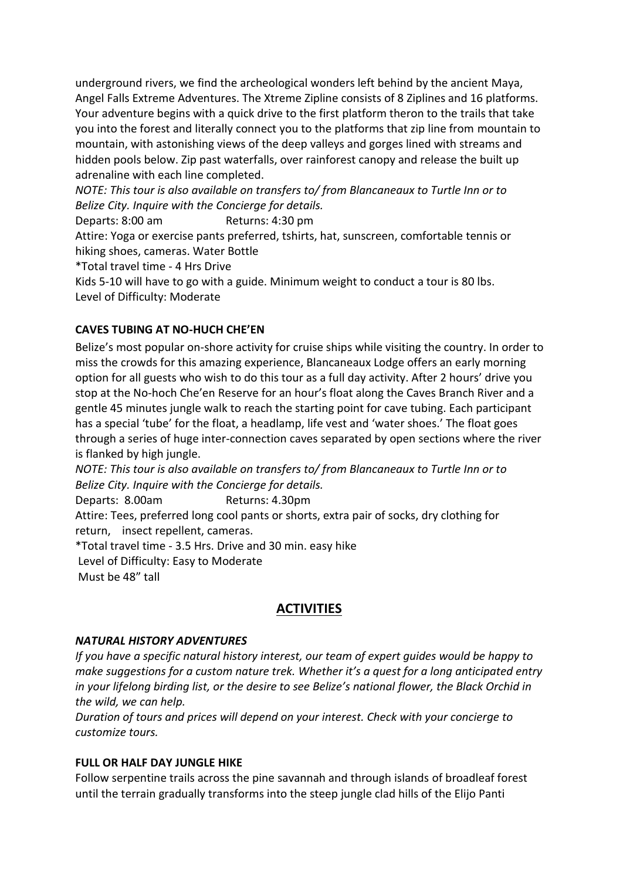underground rivers, we find the archeological wonders left behind by the ancient Maya, Angel Falls Extreme Adventures. The Xtreme Zipline consists of 8 Ziplines and 16 platforms. Your adventure begins with a quick drive to the first platform theron to the trails that take you into the forest and literally connect you to the platforms that zip line from mountain to mountain, with astonishing views of the deep valleys and gorges lined with streams and hidden pools below. Zip past waterfalls, over rainforest canopy and release the built up adrenaline with each line completed.

*NOTE: This tour is also available on transfers to/ from Blancaneaux to Turtle Inn or to Belize City. Inquire with the Concierge for details.*

Departs: 8:00 am Returns: 4:30 pm

Attire: Yoga or exercise pants preferred, tshirts, hat, sunscreen, comfortable tennis or hiking shoes, cameras. Water Bottle

\*Total travel time - 4 Hrs Drive

Kids 5-10 will have to go with a guide. Minimum weight to conduct a tour is 80 lbs. Level of Difficulty: Moderate

# **CAVES TUBING AT NO-HUCH CHE'EN**

Belize's most popular on-shore activity for cruise ships while visiting the country. In order to miss the crowds for this amazing experience, Blancaneaux Lodge offers an early morning option for all guests who wish to do this tour as a full day activity. After 2 hours' drive you stop at the No-hoch Che'en Reserve for an hour's float along the Caves Branch River and a gentle 45 minutes jungle walk to reach the starting point for cave tubing. Each participant has a special 'tube' for the float, a headlamp, life vest and 'water shoes.' The float goes through a series of huge inter-connection caves separated by open sections where the river is flanked by high jungle.

*NOTE: This tour is also available on transfers to/ from Blancaneaux to Turtle Inn or to Belize City. Inquire with the Concierge for details.*

Departs: 8.00am Returns: 4.30pm

Attire: Tees, preferred long cool pants or shorts, extra pair of socks, dry clothing for return, insect repellent, cameras.

\*Total travel time - 3.5 Hrs. Drive and 30 min. easy hike

Level of Difficulty: Easy to Moderate

Must be 48" tall

# **ACTIVITIES**

### *NATURAL HISTORY ADVENTURES*

*If you have a specific natural history interest, our team of expert guides would be happy to make suggestions for a custom nature trek. Whether it's a quest for a long anticipated entry in your lifelong birding list, or the desire to see Belize's national flower, the Black Orchid in the wild, we can help.* 

*Duration of tours and prices will depend on your interest. Check with your concierge to customize tours.*

### **FULL OR HALF DAY JUNGLE HIKE**

Follow serpentine trails across the pine savannah and through islands of broadleaf forest until the terrain gradually transforms into the steep jungle clad hills of the Elijo Panti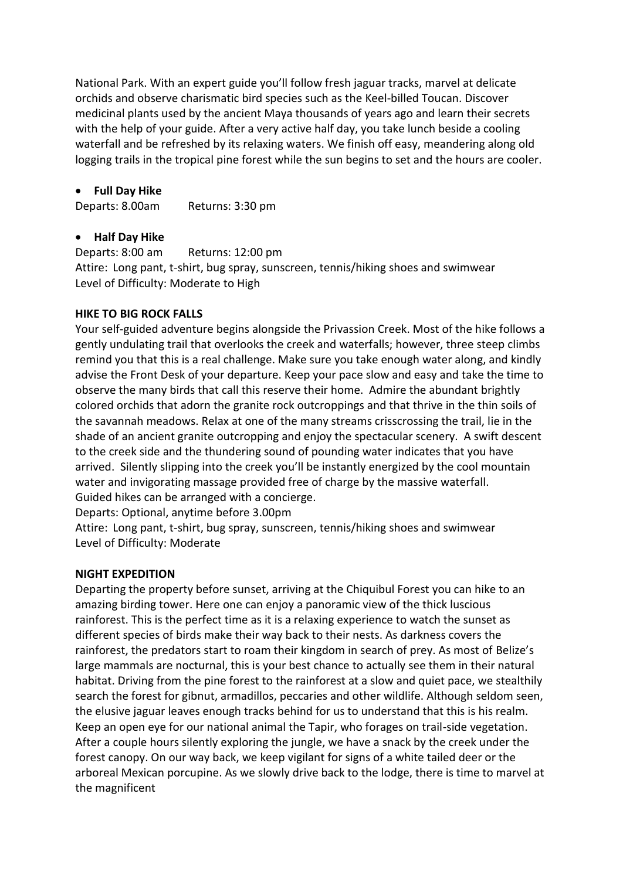National Park. With an expert guide you'll follow fresh jaguar tracks, marvel at delicate orchids and observe charismatic bird species such as the Keel-billed Toucan. Discover medicinal plants used by the ancient Maya thousands of years ago and learn their secrets with the help of your guide. After a very active half day, you take lunch beside a cooling waterfall and be refreshed by its relaxing waters. We finish off easy, meandering along old logging trails in the tropical pine forest while the sun begins to set and the hours are cooler.

#### **Full Day Hike**

Departs: 8.00am Returns: 3:30 pm

#### **Half Day Hike**

Departs: 8:00 am Returns: 12:00 pm Attire: Long pant, t-shirt, bug spray, sunscreen, tennis/hiking shoes and swimwear Level of Difficulty: Moderate to High

#### **HIKE TO BIG ROCK FALLS**

Your self-guided adventure begins alongside the Privassion Creek. Most of the hike follows a gently undulating trail that overlooks the creek and waterfalls; however, three steep climbs remind you that this is a real challenge. Make sure you take enough water along, and kindly advise the Front Desk of your departure. Keep your pace slow and easy and take the time to observe the many birds that call this reserve their home. Admire the abundant brightly colored orchids that adorn the granite rock outcroppings and that thrive in the thin soils of the savannah meadows. Relax at one of the many streams crisscrossing the trail, lie in the shade of an ancient granite outcropping and enjoy the spectacular scenery. A swift descent to the creek side and the thundering sound of pounding water indicates that you have arrived. Silently slipping into the creek you'll be instantly energized by the cool mountain water and invigorating massage provided free of charge by the massive waterfall. Guided hikes can be arranged with a concierge.

Departs: Optional, anytime before 3.00pm

Attire: Long pant, t-shirt, bug spray, sunscreen, tennis/hiking shoes and swimwear Level of Difficulty: Moderate

### **NIGHT EXPEDITION**

Departing the property before sunset, arriving at the Chiquibul Forest you can hike to an amazing birding tower. Here one can enjoy a panoramic view of the thick luscious rainforest. This is the perfect time as it is a relaxing experience to watch the sunset as different species of birds make their way back to their nests. As darkness covers the rainforest, the predators start to roam their kingdom in search of prey. As most of Belize's large mammals are nocturnal, this is your best chance to actually see them in their natural habitat. Driving from the pine forest to the rainforest at a slow and quiet pace, we stealthily search the forest for gibnut, armadillos, peccaries and other wildlife. Although seldom seen, the elusive jaguar leaves enough tracks behind for us to understand that this is his realm. Keep an open eye for our national animal the Tapir, who forages on trail-side vegetation. After a couple hours silently exploring the jungle, we have a snack by the creek under the forest canopy. On our way back, we keep vigilant for signs of a white tailed deer or the arboreal Mexican porcupine. As we slowly drive back to the lodge, there is time to marvel at the magnificent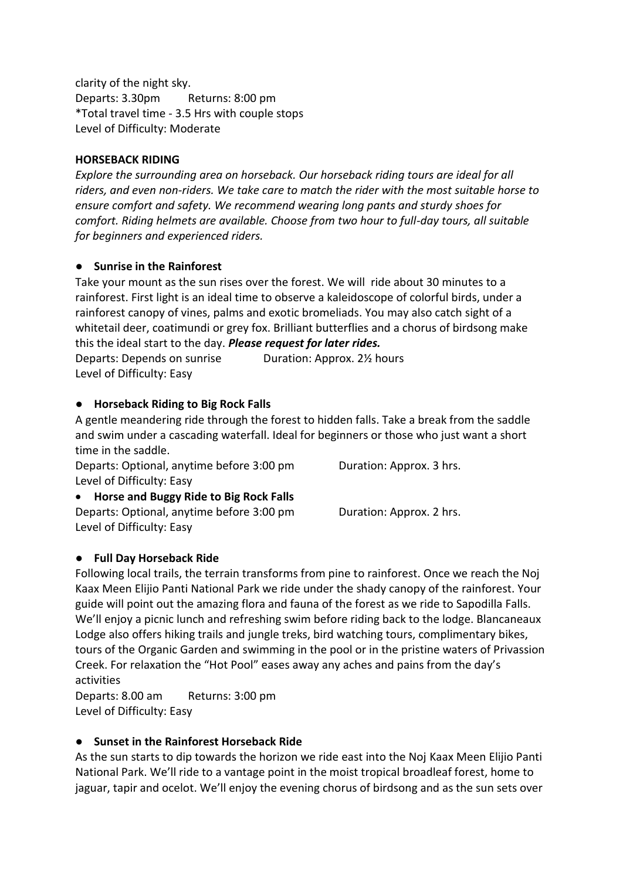clarity of the night sky. Departs: 3.30pm Returns: 8:00 pm \*Total travel time - 3.5 Hrs with couple stops Level of Difficulty: Moderate

#### **HORSEBACK RIDING**

*Explore the surrounding area on horseback. Our horseback riding tours are ideal for all riders, and even non-riders. We take care to match the rider with the most suitable horse to ensure comfort and safety. We recommend wearing long pants and sturdy shoes for comfort. Riding helmets are available. Choose from two hour to full-day tours, all suitable for beginners and experienced riders.*

#### ● **Sunrise in the Rainforest**

Take your mount as the sun rises over the forest. We will ride about 30 minutes to a rainforest. First light is an ideal time to observe a kaleidoscope of colorful birds, under a rainforest canopy of vines, palms and exotic bromeliads. You may also catch sight of a whitetail deer, coatimundi or grey fox. Brilliant butterflies and a chorus of birdsong make this the ideal start to the day. *Please request for later rides.* Departs: Depends on sunrise Duration: Approx. 2½ hours

Level of Difficulty: Easy

#### ● **Horseback Riding to Big Rock Falls**

A gentle meandering ride through the forest to hidden falls. Take a break from the saddle and swim under a cascading waterfall. Ideal for beginners or those who just want a short time in the saddle.

Departs: Optional, anytime before 3:00 pm Duration: Approx. 3 hrs. Level of Difficulty: Easy

 **Horse and Buggy Ride to Big Rock Falls** Departs: Optional, anytime before 3:00 pm Duration: Approx. 2 hrs. Level of Difficulty: Easy

### ● **Full Day Horseback Ride**

Following local trails, the terrain transforms from pine to rainforest. Once we reach the Noj Kaax Meen Elijio Panti National Park we ride under the shady canopy of the rainforest. Your guide will point out the amazing flora and fauna of the forest as we ride to Sapodilla Falls. We'll enjoy a picnic lunch and refreshing swim before riding back to the lodge. Blancaneaux Lodge also offers hiking trails and jungle treks, bird watching tours, complimentary bikes, tours of the Organic Garden and swimming in the pool or in the pristine waters of Privassion Creek. For relaxation the "Hot Pool" eases away any aches and pains from the day's activities

Departs: 8.00 am Returns: 3:00 pm Level of Difficulty: Easy

### ● **Sunset in the Rainforest Horseback Ride**

As the sun starts to dip towards the horizon we ride east into the Noj Kaax Meen Elijio Panti National Park. We'll ride to a vantage point in the moist tropical broadleaf forest, home to jaguar, tapir and ocelot. We'll enjoy the evening chorus of birdsong and as the sun sets over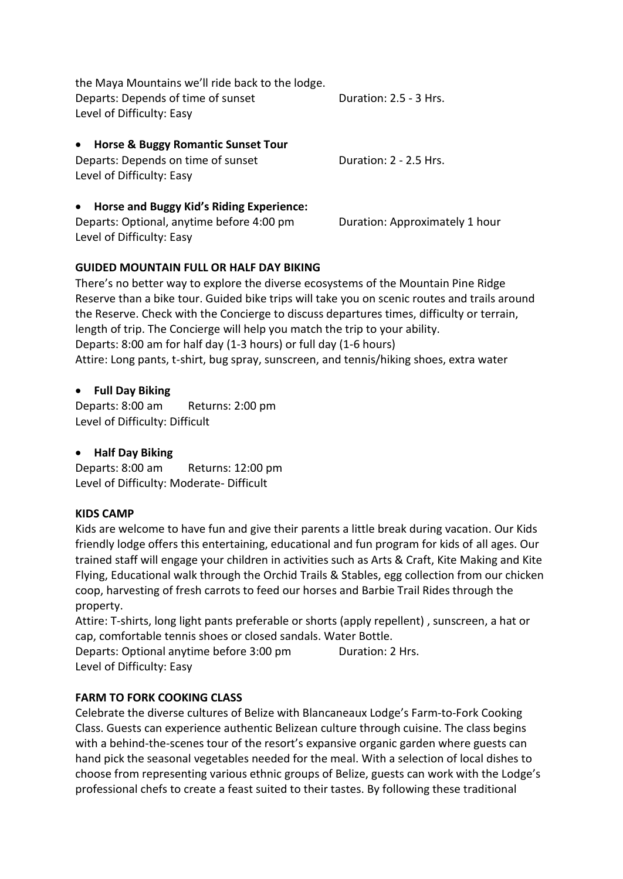| the Maya Mountains we'll ride back to the lodge. |                        |  |
|--------------------------------------------------|------------------------|--|
| Departs: Depends of time of sunset               | Duration: 2.5 - 3 Hrs. |  |
| Level of Difficulty: Easy                        |                        |  |

| • Horse & Buggy Romantic Sunset Tour |                        |
|--------------------------------------|------------------------|
| Departs: Depends on time of sunset   | Duration: 2 - 2.5 Hrs. |
| Level of Difficulty: Easy            |                        |

### **Horse and Buggy Kid's Riding Experience:**

Departs: Optional, anytime before 4:00 pm Duration: Approximately 1 hour Level of Difficulty: Easy

# **GUIDED MOUNTAIN FULL OR HALF DAY BIKING**

There's no better way to explore the diverse ecosystems of the Mountain Pine Ridge Reserve than a bike tour. Guided bike trips will take you on scenic routes and trails around the Reserve. Check with the Concierge to discuss departures times, difficulty or terrain, length of trip. The Concierge will help you match the trip to your ability. Departs: 8:00 am for half day (1-3 hours) or full day (1-6 hours) Attire: Long pants, t-shirt, bug spray, sunscreen, and tennis/hiking shoes, extra water

# **Full Day Biking**

Departs: 8:00 am Returns: 2:00 pm Level of Difficulty: Difficult

# **Half Day Biking**

Departs: 8:00 am Returns: 12:00 pm Level of Difficulty: Moderate- Difficult

# **KIDS CAMP**

Kids are welcome to have fun and give their parents a little break during vacation. Our Kids friendly lodge offers this entertaining, educational and fun program for kids of all ages. Our trained staff will engage your children in activities such as Arts & Craft, Kite Making and Kite Flying, Educational walk through the Orchid Trails & Stables, egg collection from our chicken coop, harvesting of fresh carrots to feed our horses and Barbie Trail Rides through the property.

Attire: T-shirts, long light pants preferable or shorts (apply repellent) , sunscreen, a hat or cap, comfortable tennis shoes or closed sandals. Water Bottle.

Departs: Optional anytime before 3:00 pm Duration: 2 Hrs. Level of Difficulty: Easy

# **FARM TO FORK COOKING CLASS**

Celebrate the diverse cultures of Belize with Blancaneaux Lodge's Farm-to-Fork Cooking Class. Guests can experience authentic Belizean culture through cuisine. The class begins with a behind-the-scenes tour of the resort's expansive organic garden where guests can hand pick the seasonal vegetables needed for the meal. With a selection of local dishes to choose from representing various ethnic groups of Belize, guests can work with the Lodge's professional chefs to create a feast suited to their tastes. By following these traditional